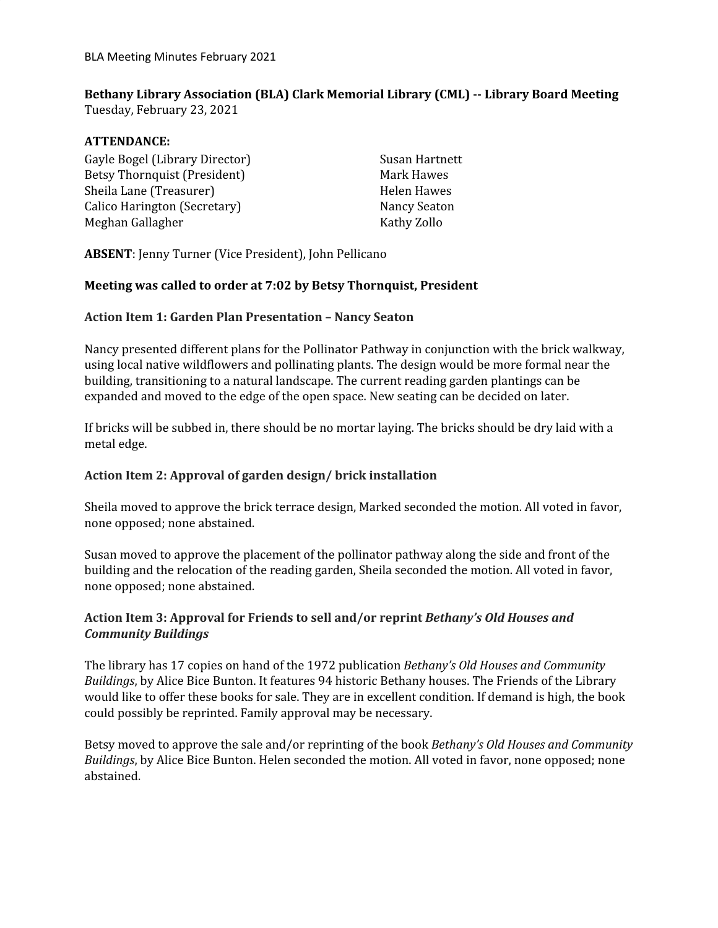# **Bethany Library Association (BLA) Clark Memorial Library (CML) -- Library Board Meeting**

Tuesday, February 23, 2021

# **ATTENDANCE:**

Gayle Bogel (Library Director) Betsy Thornquist (President) Sheila Lane (Treasurer) Calico Harington (Secretary) Meghan Gallagher

Susan Hartnett Mark Hawes Helen Hawes Nancy Seaton Kathy Zollo

**ABSENT**: Jenny Turner (Vice President), John Pellicano

## **Meeting was called to order at 7:02 by Betsy Thornquist, President**

## **Action Item 1: Garden Plan Presentation – Nancy Seaton**

Nancy presented different plans for the Pollinator Pathway in conjunction with the brick walkway, using local native wildflowers and pollinating plants. The design would be more formal near the building, transitioning to a natural landscape. The current reading garden plantings can be expanded and moved to the edge of the open space. New seating can be decided on later.

If bricks will be subbed in, there should be no mortar laying. The bricks should be dry laid with a metal edge.

#### **Action Item 2: Approval of garden design/ brick installation**

Sheila moved to approve the brick terrace design, Marked seconded the motion. All voted in favor, none opposed; none abstained.

Susan moved to approve the placement of the pollinator pathway along the side and front of the building and the relocation of the reading garden, Sheila seconded the motion. All voted in favor, none opposed; none abstained.

# **Action Item 3: Approval for Friends to sell and/or reprint** *Bethany's Old Houses and Community Buildings*

The library has 17 copies on hand of the 1972 publication *Bethany's Old Houses and Community Buildings*, by Alice Bice Bunton. It features 94 historic Bethany houses. The Friends of the Library would like to offer these books for sale. They are in excellent condition. If demand is high, the book could possibly be reprinted. Family approval may be necessary.

Betsy moved to approve the sale and/or reprinting of the book *Bethany's Old Houses and Community Buildings*, by Alice Bice Bunton. Helen seconded the motion. All voted in favor, none opposed; none abstained.